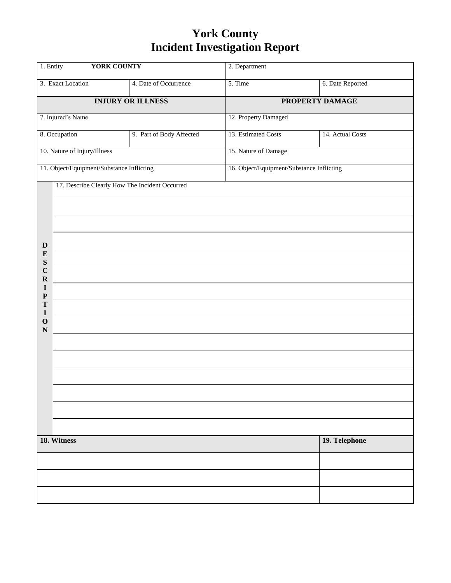## **York County Incident Investigation Report**

| 1. Entity<br><b>YORK COUNTY</b> |                                                |                          | 2. Department                             |                  |  |  |
|---------------------------------|------------------------------------------------|--------------------------|-------------------------------------------|------------------|--|--|
|                                 | 3. Exact Location                              | 4. Date of Occurrence    | 5. Time                                   | 6. Date Reported |  |  |
| <b>INJURY OR ILLNESS</b>        |                                                |                          | PROPERTY DAMAGE                           |                  |  |  |
|                                 | 7. Injured's Name                              |                          | 12. Property Damaged                      |                  |  |  |
|                                 | 8. Occupation                                  | 9. Part of Body Affected | 13. Estimated Costs                       | 14. Actual Costs |  |  |
|                                 | 10. Nature of Injury/Illness                   |                          | 15. Nature of Damage                      |                  |  |  |
|                                 | 11. Object/Equipment/Substance Inflicting      |                          | 16. Object/Equipment/Substance Inflicting |                  |  |  |
|                                 | 17. Describe Clearly How The Incident Occurred |                          |                                           |                  |  |  |
|                                 |                                                |                          |                                           |                  |  |  |
|                                 |                                                |                          |                                           |                  |  |  |
| $\mathbf D$                     |                                                |                          |                                           |                  |  |  |
| ${\bf E}$<br>S                  |                                                |                          |                                           |                  |  |  |
| $\mathbf C$<br>${\bf R}$        |                                                |                          |                                           |                  |  |  |
| I<br>$\mathbf P$                |                                                |                          |                                           |                  |  |  |
| T<br>$\mathbf I$                |                                                |                          |                                           |                  |  |  |
| $\mathbf O$<br>${\bf N}$        |                                                |                          |                                           |                  |  |  |
|                                 |                                                |                          |                                           |                  |  |  |
|                                 |                                                |                          |                                           |                  |  |  |
|                                 |                                                |                          |                                           |                  |  |  |
|                                 |                                                |                          |                                           |                  |  |  |
|                                 |                                                |                          |                                           |                  |  |  |
|                                 |                                                |                          |                                           |                  |  |  |
| 18. Witness                     |                                                |                          |                                           | 19. Telephone    |  |  |
|                                 |                                                |                          |                                           |                  |  |  |
|                                 |                                                |                          |                                           |                  |  |  |
|                                 |                                                |                          |                                           |                  |  |  |